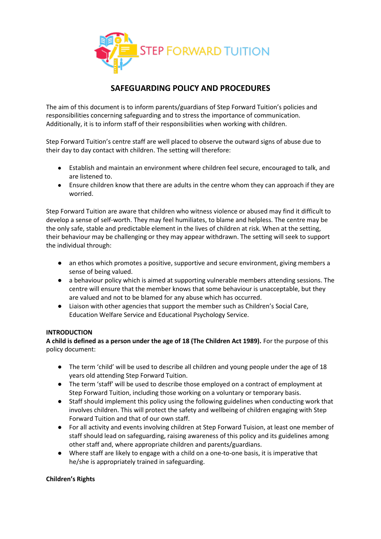

# **SAFEGUARDING POLICY AND PROCEDURES**

The aim of this document is to inform parents/guardians of Step Forward Tuition's policies and responsibilities concerning safeguarding and to stress the importance of communication. Additionally, it is to inform staff of their responsibilities when working with children.

Step Forward Tuition's centre staff are well placed to observe the outward signs of abuse due to their day to day contact with children. The setting will therefore:

- Establish and maintain an environment where children feel secure, encouraged to talk, and are listened to.
- Ensure children know that there are adults in the centre whom they can approach if they are worried.

Step Forward Tuition are aware that children who witness violence or abused may find it difficult to develop a sense of self-worth. They may feel humiliates, to blame and helpless. The centre may be the only safe, stable and predictable element in the lives of children at risk. When at the setting, their behaviour may be challenging or they may appear withdrawn. The setting will seek to support the individual through:

- an ethos which promotes a positive, supportive and secure environment, giving members a sense of being valued.
- a behaviour policy which is aimed at supporting vulnerable members attending sessions. The centre will ensure that the member knows that some behaviour is unacceptable, but they are valued and not to be blamed for any abuse which has occurred.
- Liaison with other agencies that support the member such as Children's Social Care, Education Welfare Service and Educational Psychology Service.

#### **INTRODUCTION**

**A child is defined as a person under the age of 18 (The Children Act 1989).** For the purpose of this policy document:

- The term 'child' will be used to describe all children and young people under the age of 18 years old attending Step Forward Tuition.
- The term 'staff' will be used to describe those employed on a contract of employment at Step Forward Tuition, including those working on a voluntary or temporary basis.
- Staff should implement this policy using the following guidelines when conducting work that involves children. This will protect the safety and wellbeing of children engaging with Step Forward Tuition and that of our own staff.
- For all activity and events involving children at Step Forward Tuision, at least one member of staff should lead on safeguarding, raising awareness of this policy and its guidelines among other staff and, where appropriate children and parents/guardians.
- Where staff are likely to engage with a child on a one-to-one basis, it is imperative that he/she is appropriately trained in safeguarding.

#### **Children's Rights**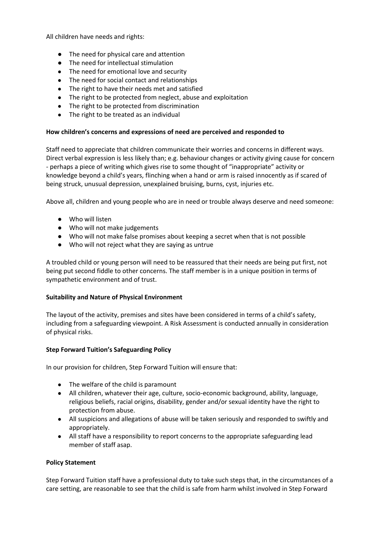All children have needs and rights:

- The need for physical care and attention
- The need for intellectual stimulation
- The need for emotional love and security
- The need for social contact and relationships
- The right to have their needs met and satisfied
- The right to be protected from neglect, abuse and exploitation
- The right to be protected from discrimination
- The right to be treated as an individual

### **How children's concerns and expressions of need are perceived and responded to**

Staff need to appreciate that children communicate their worries and concerns in different ways. Direct verbal expression is less likely than; e.g. behaviour changes or activity giving cause for concern - perhaps a piece of writing which gives rise to some thought of "inappropriate" activity or knowledge beyond a child's years, flinching when a hand or arm is raised innocently as if scared of being struck, unusual depression, unexplained bruising, burns, cyst, injuries etc.

Above all, children and young people who are in need or trouble always deserve and need someone:

- Who will listen
- Who will not make judgements
- Who will not make false promises about keeping a secret when that is not possible
- Who will not reject what they are saying as untrue

A troubled child or young person will need to be reassured that their needs are being put first, not being put second fiddle to other concerns. The staff member is in a unique position in terms of sympathetic environment and of trust.

#### **Suitability and Nature of Physical Environment**

The layout of the activity, premises and sites have been considered in terms of a child's safety, including from a safeguarding viewpoint. A Risk Assessment is conducted annually in consideration of physical risks.

#### **Step Forward Tuition's Safeguarding Policy**

In our provision for children, Step Forward Tuition will ensure that:

- The welfare of the child is paramount
- All children, whatever their age, culture, socio-economic background, ability, language, religious beliefs, racial origins, disability, gender and/or sexual identity have the right to protection from abuse.
- All suspicions and allegations of abuse will be taken seriously and responded to swiftly and appropriately.
- All staff have a responsibility to report concerns to the appropriate safeguarding lead member of staff asap.

#### **Policy Statement**

Step Forward Tuition staff have a professional duty to take such steps that, in the circumstances of a care setting, are reasonable to see that the child is safe from harm whilst involved in Step Forward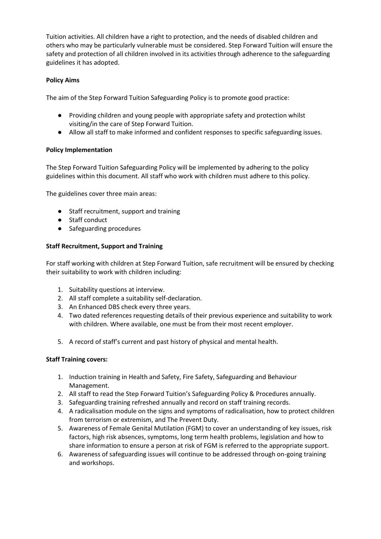Tuition activities. All children have a right to protection, and the needs of disabled children and others who may be particularly vulnerable must be considered. Step Forward Tuition will ensure the safety and protection of all children involved in its activities through adherence to the safeguarding guidelines it has adopted.

# **Policy Aims**

The aim of the Step Forward Tuition Safeguarding Policy is to promote good practice:

- Providing children and young people with appropriate safety and protection whilst visiting/in the care of Step Forward Tuition.
- Allow all staff to make informed and confident responses to specific safeguarding issues.

# **Policy Implementation**

The Step Forward Tuition Safeguarding Policy will be implemented by adhering to the policy guidelines within this document. All staff who work with children must adhere to this policy.

The guidelines cover three main areas:

- Staff recruitment, support and training
- Staff conduct
- Safeguarding procedures

# **Staff Recruitment, Support and Training**

For staff working with children at Step Forward Tuition, safe recruitment will be ensured by checking their suitability to work with children including:

- 1. Suitability questions at interview.
- 2. All staff complete a suitability self-declaration.
- 3. An Enhanced DBS check every three years.
- 4. Two dated references requesting details of their previous experience and suitability to work with children. Where available, one must be from their most recent employer.
- 5. A record of staff's current and past history of physical and mental health.

# **Staff Training covers:**

- 1. Induction training in Health and Safety, Fire Safety, Safeguarding and Behaviour Management.
- 2. All staff to read the Step Forward Tuition's Safeguarding Policy & Procedures annually.
- 3. Safeguarding training refreshed annually and record on staff training records.
- 4. A radicalisation module on the signs and symptoms of radicalisation, how to protect children from terrorism or extremism, and The Prevent Duty.
- 5. Awareness of Female Genital Mutilation (FGM) to cover an understanding of key issues, risk factors, high risk absences, symptoms, long term health problems, legislation and how to share information to ensure a person at risk of FGM is referred to the appropriate support.
- 6. Awareness of safeguarding issues will continue to be addressed through on-going training and workshops.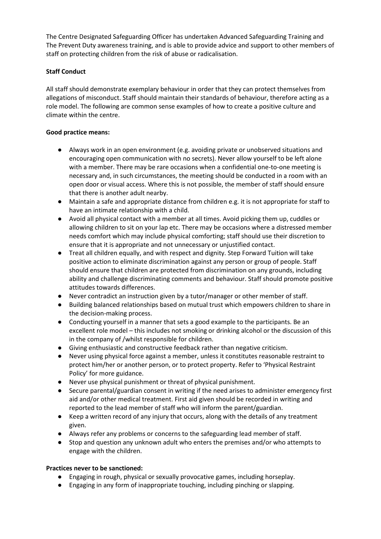The Centre Designated Safeguarding Officer has undertaken Advanced Safeguarding Training and The Prevent Duty awareness training, and is able to provide advice and support to other members of staff on protecting children from the risk of abuse or radicalisation.

# **Staff Conduct**

All staff should demonstrate exemplary behaviour in order that they can protect themselves from allegations of misconduct. Staff should maintain their standards of behaviour, therefore acting as a role model. The following are common sense examples of how to create a positive culture and climate within the centre.

### **Good practice means:**

- Always work in an open environment (e.g. avoiding private or unobserved situations and encouraging open communication with no secrets). Never allow yourself to be left alone with a member. There may be rare occasions when a confidential one-to-one meeting is necessary and, in such circumstances, the meeting should be conducted in a room with an open door or visual access. Where this is not possible, the member of staff should ensure that there is another adult nearby.
- Maintain a safe and appropriate distance from children e.g. it is not appropriate for staff to have an intimate relationship with a child.
- Avoid all physical contact with a member at all times. Avoid picking them up, cuddles or allowing children to sit on your lap etc. There may be occasions where a distressed member needs comfort which may include physical comforting; staff should use their discretion to ensure that it is appropriate and not unnecessary or unjustified contact.
- Treat all children equally, and with respect and dignity. Step Forward Tuition will take positive action to eliminate discrimination against any person or group of people. Staff should ensure that children are protected from discrimination on any grounds, including ability and challenge discriminating comments and behaviour. Staff should promote positive attitudes towards differences.
- Never contradict an instruction given by a tutor/manager or other member of staff.
- Building balanced relationships based on mutual trust which empowers children to share in the decision-making process.
- Conducting yourself in a manner that sets a good example to the participants. Be an excellent role model – this includes not smoking or drinking alcohol or the discussion of this in the company of /whilst responsible for children.
- Giving enthusiastic and constructive feedback rather than negative criticism.
- Never using physical force against a member, unless it constitutes reasonable restraint to protect him/her or another person, or to protect property. Refer to 'Physical Restraint Policy' for more guidance.
- Never use physical punishment or threat of physical punishment.
- Secure parental/guardian consent in writing if the need arises to administer emergency first aid and/or other medical treatment. First aid given should be recorded in writing and reported to the lead member of staff who will inform the parent/guardian.
- Keep a written record of any injury that occurs, along with the details of any treatment given.
- Always refer any problems or concerns to the safeguarding lead member of staff.
- Stop and question any unknown adult who enters the premises and/or who attempts to engage with the children.

#### **Practices never to be sanctioned:**

- Engaging in rough, physical or sexually provocative games, including horseplay.
- Engaging in any form of inappropriate touching, including pinching or slapping.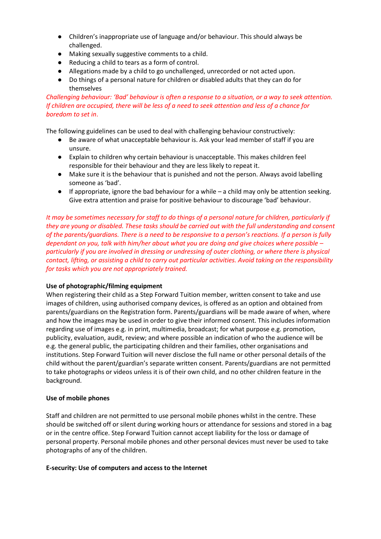- Children's inappropriate use of language and/or behaviour. This should always be challenged.
- Making sexually suggestive comments to a child.
- Reducing a child to tears as a form of control.
- Allegations made by a child to go unchallenged, unrecorded or not acted upon.
- Do things of a personal nature for children or disabled adults that they can do for themselves

# *Challenging behaviour: 'Bad' behaviour is often a response to a situation, or a way to seek attention. If children are occupied, there will be less of a need to seek attention and less of a chance for boredom to set in*.

The following guidelines can be used to deal with challenging behaviour constructively:

- Be aware of what unacceptable behaviour is. Ask your lead member of staff if you are unsure.
- Explain to children why certain behaviour is unacceptable. This makes children feel responsible for their behaviour and they are less likely to repeat it.
- Make sure it is the behaviour that is punished and not the person. Always avoid labelling someone as 'bad'.
- If appropriate, ignore the bad behaviour for a while a child may only be attention seeking. Give extra attention and praise for positive behaviour to discourage 'bad' behaviour.

*It may be sometimes necessary for staff to do things of a personal nature for children, particularly if they are young or disabled. These tasks should be carried out with the full understanding and consent of the parents/guardians. There is a need to be responsive to a person's reactions. If a person is fully dependant on you, talk with him/her about what you are doing and give choices where possible – particularly if you are involved in dressing or undressing of outer clothing, or where there is physical contact, lifting, or assisting a child to carry out particular activities. Avoid taking on the responsibility for tasks which you are not appropriately trained.* 

# **Use of photographic/filming equipment**

When registering their child as a Step Forward Tuition member, written consent to take and use images of children, using authorised company devices, is offered as an option and obtained from parents/guardians on the Registration form. Parents/guardians will be made aware of when, where and how the images may be used in order to give their informed consent. This includes information regarding use of images e.g. in print, multimedia, broadcast; for what purpose e.g. promotion, publicity, evaluation, audit, review; and where possible an indication of who the audience will be e.g. the general public, the participating children and their families, other organisations and institutions. Step Forward Tuition will never disclose the full name or other personal details of the child without the parent/guardian's separate written consent. Parents/guardians are not permitted to take photographs or videos unless it is of their own child, and no other children feature in the background.

#### **Use of mobile phones**

Staff and children are not permitted to use personal mobile phones whilst in the centre. These should be switched off or silent during working hours or attendance for sessions and stored in a bag or in the centre office. Step Forward Tuition cannot accept liability for the loss or damage of personal property. Personal mobile phones and other personal devices must never be used to take photographs of any of the children.

#### **E-security: Use of computers and access to the Internet**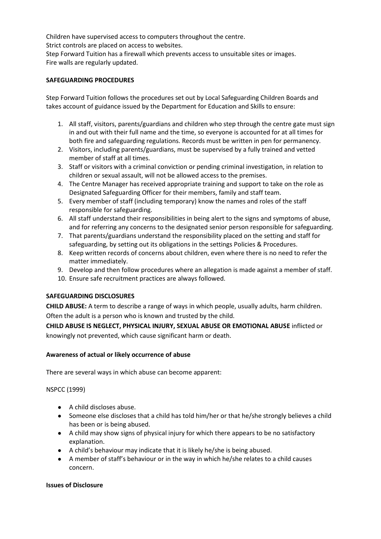Children have supervised access to computers throughout the centre. Strict controls are placed on access to websites. Step Forward Tuition has a firewall which prevents access to unsuitable sites or images. Fire walls are regularly updated.

### **SAFEGUARDING PROCEDURES**

Step Forward Tuition follows the procedures set out by Local Safeguarding Children Boards and takes account of guidance issued by the Department for Education and Skills to ensure:

- 1. All staff, visitors, parents/guardians and children who step through the centre gate must sign in and out with their full name and the time, so everyone is accounted for at all times for both fire and safeguarding regulations. Records must be written in pen for permanency.
- 2. Visitors, including parents/guardians, must be supervised by a fully trained and vetted member of staff at all times.
- 3. Staff or visitors with a criminal conviction or pending criminal investigation, in relation to children or sexual assault, will not be allowed access to the premises.
- 4. The Centre Manager has received appropriate training and support to take on the role as Designated Safeguarding Officer for their members, family and staff team.
- 5. Every member of staff (including temporary) know the names and roles of the staff responsible for safeguarding.
- 6. All staff understand their responsibilities in being alert to the signs and symptoms of abuse, and for referring any concerns to the designated senior person responsible for safeguarding.
- 7. That parents/guardians understand the responsibility placed on the setting and staff for safeguarding, by setting out its obligations in the settings Policies & Procedures.
- 8. Keep written records of concerns about children, even where there is no need to refer the matter immediately.
- 9. Develop and then follow procedures where an allegation is made against a member of staff.
- 10. Ensure safe recruitment practices are always followed.

# **SAFEGUARDING DISCLOSURES**

**CHILD ABUSE:** A term to describe a range of ways in which people, usually adults, harm children. Often the adult is a person who is known and trusted by the child.

**CHILD ABUSE IS NEGLECT, PHYSICAL INJURY, SEXUAL ABUSE OR EMOTIONAL ABUSE** inflicted or knowingly not prevented, which cause significant harm or death.

# **Awareness of actual or likely occurrence of abuse**

There are several ways in which abuse can become apparent:

#### NSPCC (1999)

- A child discloses abuse.
- Someone else discloses that a child has told him/her or that he/she strongly believes a child has been or is being abused.
- A child may show signs of physical injury for which there appears to be no satisfactory explanation.
- A child's behaviour may indicate that it is likely he/she is being abused.
- A member of staff's behaviour or in the way in which he/she relates to a child causes concern.

#### **Issues of Disclosure**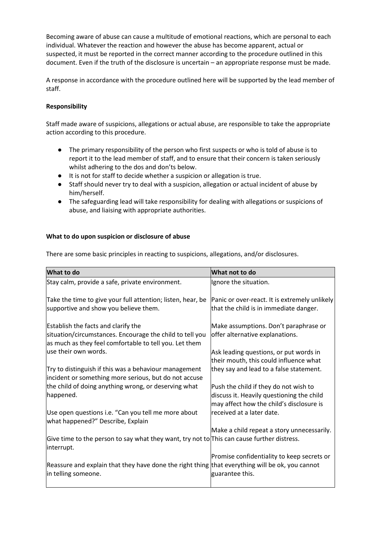Becoming aware of abuse can cause a multitude of emotional reactions, which are personal to each individual. Whatever the reaction and however the abuse has become apparent, actual or suspected, it must be reported in the correct manner according to the procedure outlined in this document. Even if the truth of the disclosure is uncertain – an appropriate response must be made.

A response in accordance with the procedure outlined here will be supported by the lead member of staff.

### **Responsibility**

Staff made aware of suspicions, allegations or actual abuse, are responsible to take the appropriate action according to this procedure.

- The primary responsibility of the person who first suspects or who is told of abuse is to report it to the lead member of staff, and to ensure that their concern is taken seriously whilst adhering to the dos and don'ts below.
- It is not for staff to decide whether a suspicion or allegation is true.
- Staff should never try to deal with a suspicion, allegation or actual incident of abuse by him/herself.
- The safeguarding lead will take responsibility for dealing with allegations or suspicions of abuse, and liaising with appropriate authorities.

#### **What to do upon suspicion or disclosure of abuse**

There are some basic principles in reacting to suspicions, allegations, and/or disclosures.

| What to do                                                                                                                                                | What not to do                                                                                                                 |
|-----------------------------------------------------------------------------------------------------------------------------------------------------------|--------------------------------------------------------------------------------------------------------------------------------|
| Stay calm, provide a safe, private environment.                                                                                                           | Ignore the situation.                                                                                                          |
| Take the time to give your full attention; listen, hear, be<br>supportive and show you believe them.                                                      | Panic or over-react. It is extremely unlikely<br>that the child is in immediate danger.                                        |
| Establish the facts and clarify the<br>situation/circumstances. Encourage the child to tell you<br>as much as they feel comfortable to tell you. Let them | Make assumptions. Don't paraphrase or<br>offer alternative explanations.                                                       |
| use their own words.                                                                                                                                      | Ask leading questions, or put words in<br>their mouth, this could influence what                                               |
| Try to distinguish if this was a behaviour management<br>incident or something more serious, but do not accuse                                            | they say and lead to a false statement.                                                                                        |
| the child of doing anything wrong, or deserving what<br>happened.                                                                                         | Push the child if they do not wish to<br>discuss it. Heavily questioning the child<br>may affect how the child's disclosure is |
| Use open questions i.e. "Can you tell me more about<br>what happened?" Describe, Explain                                                                  | received at a later date.                                                                                                      |
| Give time to the person to say what they want, try not to This can cause further distress.<br>interrupt.                                                  | Make a child repeat a story unnecessarily.                                                                                     |
| Reassure and explain that they have done the right thing that everything will be ok, you cannot<br>in telling someone.                                    | Promise confidentiality to keep secrets or<br>guarantee this.                                                                  |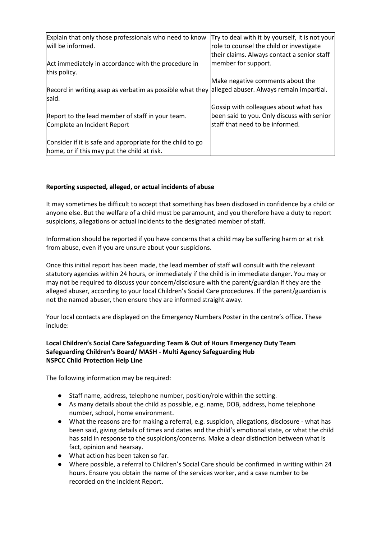| Explain that only those professionals who need to know<br>will be informed.                                 | Try to deal with it by yourself, it is not your<br>role to counsel the child or investigate                             |
|-------------------------------------------------------------------------------------------------------------|-------------------------------------------------------------------------------------------------------------------------|
| Act immediately in accordance with the procedure in<br>this policy.                                         | their claims. Always contact a senior staff<br>member for support.                                                      |
| Record in writing asap as verbatim as possible what they alleged abuser. Always remain impartial.<br>lsaid. | Make negative comments about the                                                                                        |
| Report to the lead member of staff in your team.<br>Complete an Incident Report                             | Gossip with colleagues about what has<br>been said to you. Only discuss with senior<br>lstaff that need to be informed. |
| Consider if it is safe and appropriate for the child to go<br>home, or if this may put the child at risk.   |                                                                                                                         |

# **Reporting suspected, alleged, or actual incidents of abuse**

It may sometimes be difficult to accept that something has been disclosed in confidence by a child or anyone else. But the welfare of a child must be paramount, and you therefore have a duty to report suspicions, allegations or actual incidents to the designated member of staff.

Information should be reported if you have concerns that a child may be suffering harm or at risk from abuse, even if you are unsure about your suspicions.

Once this initial report has been made, the lead member of staff will consult with the relevant statutory agencies within 24 hours, or immediately if the child is in immediate danger. You may or may not be required to discuss your concern/disclosure with the parent/guardian if they are the alleged abuser, according to your local Children's Social Care procedures. If the parent/guardian is not the named abuser, then ensure they are informed straight away.

Your local contacts are displayed on the Emergency Numbers Poster in the centre's office. These include:

### **Local Children's Social Care Safeguarding Team & Out of Hours Emergency Duty Team Safeguarding Children's Board/ MASH - Multi Agency Safeguarding Hub NSPCC Child Protection Help Line**

The following information may be required:

- Staff name, address, telephone number, position/role within the setting.
- As many details about the child as possible, e.g. name, DOB, address, home telephone number, school, home environment.
- What the reasons are for making a referral, e.g. suspicion, allegations, disclosure what has been said, giving details of times and dates and the child's emotional state, or what the child has said in response to the suspicions/concerns. Make a clear distinction between what is fact, opinion and hearsay.
- What action has been taken so far.
- Where possible, a referral to Children's Social Care should be confirmed in writing within 24 hours. Ensure you obtain the name of the services worker, and a case number to be recorded on the Incident Report.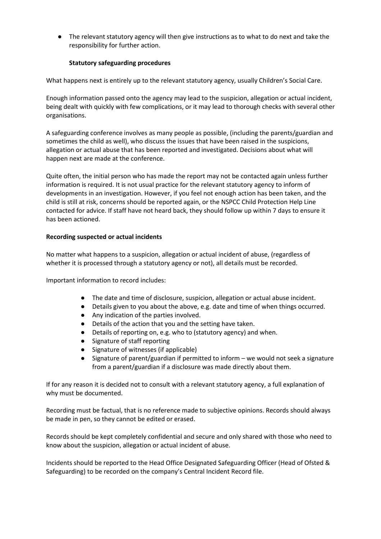● The relevant statutory agency will then give instructions as to what to do next and take the responsibility for further action.

### **Statutory safeguarding procedures**

What happens next is entirely up to the relevant statutory agency, usually Children's Social Care.

Enough information passed onto the agency may lead to the suspicion, allegation or actual incident, being dealt with quickly with few complications, or it may lead to thorough checks with several other organisations.

A safeguarding conference involves as many people as possible, (including the parents/guardian and sometimes the child as well), who discuss the issues that have been raised in the suspicions, allegation or actual abuse that has been reported and investigated. Decisions about what will happen next are made at the conference.

Quite often, the initial person who has made the report may not be contacted again unless further information is required. It is not usual practice for the relevant statutory agency to inform of developments in an investigation. However, if you feel not enough action has been taken, and the child is still at risk, concerns should be reported again, or the NSPCC Child Protection Help Line contacted for advice. If staff have not heard back, they should follow up within 7 days to ensure it has been actioned.

### **Recording suspected or actual incidents**

No matter what happens to a suspicion, allegation or actual incident of abuse, (regardless of whether it is processed through a statutory agency or not), all details must be recorded.

Important information to record includes:

- The date and time of disclosure, suspicion, allegation or actual abuse incident.
- Details given to you about the above, e.g. date and time of when things occurred.
- Any indication of the parties involved.
- Details of the action that you and the setting have taken.
- Details of reporting on, e.g. who to (statutory agency) and when.
- Signature of staff reporting
- Signature of witnesses (if applicable)
- Signature of parent/guardian if permitted to inform we would not seek a signature from a parent/guardian if a disclosure was made directly about them.

If for any reason it is decided not to consult with a relevant statutory agency, a full explanation of why must be documented.

Recording must be factual, that is no reference made to subjective opinions. Records should always be made in pen, so they cannot be edited or erased.

Records should be kept completely confidential and secure and only shared with those who need to know about the suspicion, allegation or actual incident of abuse.

Incidents should be reported to the Head Office Designated Safeguarding Officer (Head of Ofsted & Safeguarding) to be recorded on the company's Central Incident Record file.